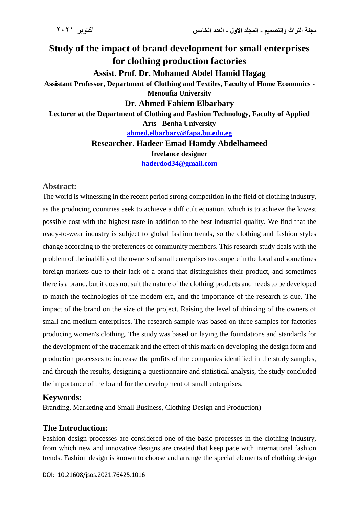# **Study of the impact of brand development for small enterprises for clothing production factories Assist. Prof. Dr. Mohamed Abdel Hamid Hagag Assistant Professor, Department of Clothing and Textiles, Faculty of Home Economics - Menoufia University Dr. Ahmed Fahiem Elbarbary Lecturer at the Department of Clothing and Fashion Technology, Faculty of Applied Arts - Benha University [ahmed.elbarbary@fapa.bu.edu.eg](mailto:ahmed.elbarbary@fapa.bu.edu.eg) Researcher. Hadeer Emad Hamdy Abdelhameed**

**freelance designer**

**[haderdod34@gmail.com](mailto:haderdod34@gmail.com)**

#### **Abstract:**

The world is witnessing in the recent period strong competition in the field of clothing industry, as the producing countries seek to achieve a difficult equation, which is to achieve the lowest possible cost with the highest taste in addition to the best industrial quality. We find that the ready-to-wear industry is subject to global fashion trends, so the clothing and fashion styles change according to the preferences of community members. This research study deals with the problem of the inability of the owners of small enterprises to compete in the local and sometimes foreign markets due to their lack of a brand that distinguishes their product, and sometimes there is a brand, but it does not suit the nature of the clothing products and needs to be developed to match the technologies of the modern era, and the importance of the research is due. The impact of the brand on the size of the project. Raising the level of thinking of the owners of small and medium enterprises. The research sample was based on three samples for factories producing women's clothing. The study was based on laying the foundations and standards for the development of the trademark and the effect of this mark on developing the design form and production processes to increase the profits of the companies identified in the study samples, and through the results, designing a questionnaire and statistical analysis, the study concluded the importance of the brand for the development of small enterprises.

#### **Keywords:**

Branding, Marketing and Small Business, Clothing Design and Production)

#### **The Introduction:**

Fashion design processes are considered one of the basic processes in the clothing industry, from which new and innovative designs are created that keep pace with international fashion trends. Fashion design is known to choose and arrange the special elements of clothing design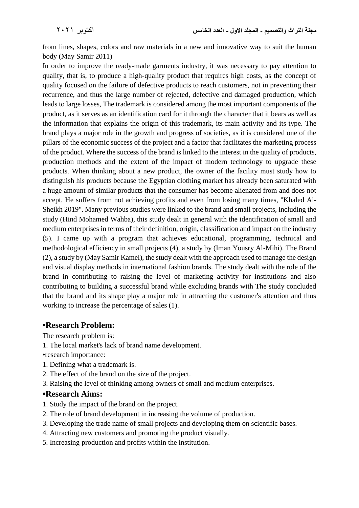from lines, shapes, colors and raw materials in a new and innovative way to suit the human body (May Samir 2011)

In order to improve the ready-made garments industry, it was necessary to pay attention to quality, that is, to produce a high-quality product that requires high costs, as the concept of quality focused on the failure of defective products to reach customers, not in preventing their recurrence, and thus the large number of rejected, defective and damaged production, which leads to large losses, The trademark is considered among the most important components of the product, as it serves as an identification card for it through the character that it bears as well as the information that explains the origin of this trademark, its main activity and its type. The brand plays a major role in the growth and progress of societies, as it is considered one of the pillars of the economic success of the project and a factor that facilitates the marketing process of the product. Where the success of the brand is linked to the interest in the quality of products, production methods and the extent of the impact of modern technology to upgrade these products. When thinking about a new product, the owner of the facility must study how to distinguish his products because the Egyptian clothing market has already been saturated with a huge amount of similar products that the consumer has become alienated from and does not accept. He suffers from not achieving profits and even from losing many times, "Khaled Al-Sheikh 2019". Many previous studies were linked to the brand and small projects, including the study (Hind Mohamed Wahba), this study dealt in general with the identification of small and medium enterprises in terms of their definition, origin, classification and impact on the industry (5). I came up with a program that achieves educational, programming, technical and methodological efficiency in small projects (4), a study by (Iman Yousry Al-Mihi). The Brand (2), a study by (May Samir Kamel), the study dealt with the approach used to manage the design and visual display methods in international fashion brands. The study dealt with the role of the brand in contributing to raising the level of marketing activity for institutions and also contributing to building a successful brand while excluding brands with The study concluded that the brand and its shape play a major role in attracting the customer's attention and thus working to increase the percentage of sales (1).

#### **•Research Problem:**

The research problem is:

1. The local market's lack of brand name development.

•research importance:

- 1. Defining what a trademark is.
- 2. The effect of the brand on the size of the project.
- 3. Raising the level of thinking among owners of small and medium enterprises.

#### **•Research Aims:**

- 1. Study the impact of the brand on the project.
- 2. The role of brand development in increasing the volume of production.
- 3. Developing the trade name of small projects and developing them on scientific bases.
- 4. Attracting new customers and promoting the product visually.
- 5. Increasing production and profits within the institution.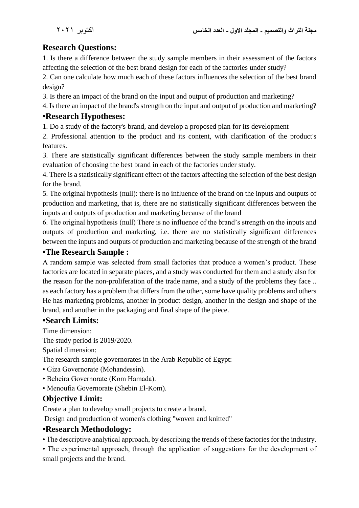# **Research Questions:**

1. Is there a difference between the study sample members in their assessment of the factors affecting the selection of the best brand design for each of the factories under study?

2. Can one calculate how much each of these factors influences the selection of the best brand design?

3. Is there an impact of the brand on the input and output of production and marketing?

4. Is there an impact of the brand's strength on the input and output of production and marketing?

## **•Research Hypotheses:**

1. Do a study of the factory's brand, and develop a proposed plan for its development

2. Professional attention to the product and its content, with clarification of the product's features.

3. There are statistically significant differences between the study sample members in their evaluation of choosing the best brand in each of the factories under study.

4. There is a statistically significant effect of the factors affecting the selection of the best design for the brand.

5. The original hypothesis (null): there is no influence of the brand on the inputs and outputs of production and marketing, that is, there are no statistically significant differences between the inputs and outputs of production and marketing because of the brand

6. The original hypothesis (null) There is no influence of the brand's strength on the inputs and outputs of production and marketing, i.e. there are no statistically significant differences between the inputs and outputs of production and marketing because of the strength of the brand

### **•The Research Sample :**

A random sample was selected from small factories that produce a women's product. These factories are located in separate places, and a study was conducted for them and a study also for the reason for the non-proliferation of the trade name, and a study of the problems they face .. as each factory has a problem that differs from the other, some have quality problems and others He has marketing problems, another in product design, another in the design and shape of the brand, and another in the packaging and final shape of the piece.

## **•Search Limits:**

Time dimension:

The study period is 2019/2020.

Spatial dimension:

The research sample governorates in the Arab Republic of Egypt:

- Giza Governorate (Mohandessin).
- Beheira Governorate (Kom Hamada).
- Menoufia Governorate (Shebin El-Kom).

## **Objective Limit:**

Create a plan to develop small projects to create a brand.

Design and production of women's clothing "woven and knitted"

#### **•Research Methodology:**

• The descriptive analytical approach, by describing the trends of these factories for the industry.

• The experimental approach, through the application of suggestions for the development of small projects and the brand.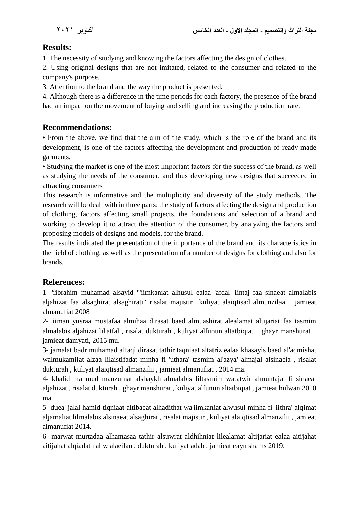## **Results:**

1. The necessity of studying and knowing the factors affecting the design of clothes.

2. Using original designs that are not imitated, related to the consumer and related to the company's purpose.

3. Attention to the brand and the way the product is presented.

4. Although there is a difference in the time periods for each factory, the presence of the brand had an impact on the movement of buying and selling and increasing the production rate.

#### **Recommendations:**

• From the above, we find that the aim of the study, which is the role of the brand and its development, is one of the factors affecting the development and production of ready-made garments.

• Studying the market is one of the most important factors for the success of the brand, as well as studying the needs of the consumer, and thus developing new designs that succeeded in attracting consumers

This research is informative and the multiplicity and diversity of the study methods. The research will be dealt with in three parts: the study of factors affecting the design and production of clothing, factors affecting small projects, the foundations and selection of a brand and working to develop it to attract the attention of the consumer, by analyzing the factors and proposing models of designs and models. for the brand.

The results indicated the presentation of the importance of the brand and its characteristics in the field of clothing, as well as the presentation of a number of designs for clothing and also for brands.

## **References:**

1- 'iibrahim muhamad alsayid "'iimkaniat alhusul ealaa 'afdal 'iintaj faa sinaeat almalabis aljahizat faa alsaghirat alsaghirati" risalat majistir \_kuliyat alaiqtisad almunzilaa \_ jamieat almanufiat 2008

2- 'iiman yusraa mustafaa almihaa dirasat baed almuashirat alealamat altijariat faa tasmim almalabis aljahizat lil'atfal , risalat dukturah , kuliyat alfunun altatbiqiat \_ ghayr manshurat \_ jamieat damyati, 2015 mu.

3- jamalat badr muhamad alfaqi dirasat tathir taqniaat altatriz ealaa khasayis baed al'aqmishat walmukamilat alzaa lilaistifadat minha fi 'uthara' tasmim al'azya' almajal alsinaeia , risalat dukturah , kuliyat alaiqtisad almanzilii , jamieat almanufiat , 2014 ma.

4- khalid mahmud manzumat alshaykh almalabis liltasmim watatwir almuntajat fi sinaeat aljahizat , risalat dukturah , ghayr manshurat , kuliyat alfunun altatbiqiat , jamieat hulwan 2010 ma.

5- duea' jalal hamid tiqniaat altibaeat alhadithat wa'iimkaniat alwusul minha fi 'iithra' alqimat aljamaliat lilmalabis alsinaeat alsaghirat , risalat majistir , kuliyat alaiqtisad almanzilii , jamieat almanufiat 2014.

6- marwat murtadaa alhamasaa tathir alsuwrat aldhihniat lilealamat altijariat ealaa aitijahat aitijahat alqiadat nahw alaeilan , dukturah , kuliyat adab , jamieat eayn shams 2019.